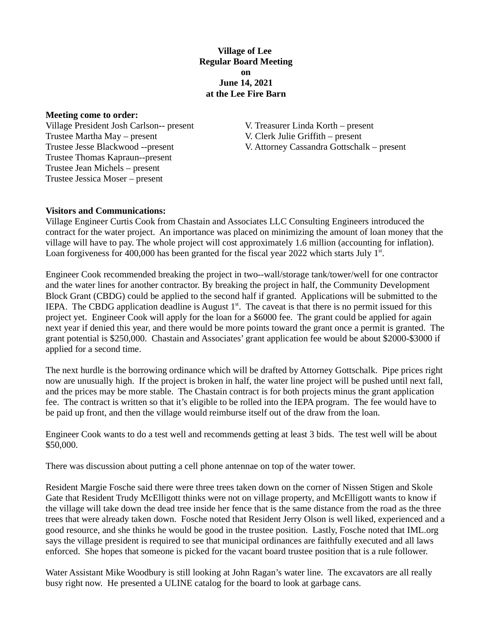**Village of Lee Regular Board Meeting on June 14, 2021 at the Lee Fire Barn**

**Meeting come to order:**

Village President Josh Carlson-- present V. Treasurer Linda Korth – present Trustee Martha May – present V. Clerk Julie Griffith – present Trustee Thomas Kapraun--present Trustee Jean Michels – present Trustee Jessica Moser – present

Trustee Jesse Blackwood --present V. Attorney Cassandra Gottschalk – present

### **Visitors and Communications:**

Village Engineer Curtis Cook from Chastain and Associates LLC Consulting Engineers introduced the contract for the water project. An importance was placed on minimizing the amount of loan money that the village will have to pay. The whole project will cost approximately 1.6 million (accounting for inflation). Loan forgiveness for 400,000 has been granted for the fiscal year 2022 which starts July  $1<sup>st</sup>$ .

Engineer Cook recommended breaking the project in two--wall/storage tank/tower/well for one contractor and the water lines for another contractor. By breaking the project in half, the Community Development Block Grant (CBDG) could be applied to the second half if granted. Applications will be submitted to the IEPA. The CBDG application deadline is August  $1<sup>st</sup>$ . The caveat is that there is no permit issued for this project yet. Engineer Cook will apply for the loan for a \$6000 fee. The grant could be applied for again next year if denied this year, and there would be more points toward the grant once a permit is granted. The grant potential is \$250,000. Chastain and Associates' grant application fee would be about \$2000-\$3000 if applied for a second time.

The next hurdle is the borrowing ordinance which will be drafted by Attorney Gottschalk. Pipe prices right now are unusually high. If the project is broken in half, the water line project will be pushed until next fall, and the prices may be more stable. The Chastain contract is for both projects minus the grant application fee. The contract is written so that it's eligible to be rolled into the IEPA program. The fee would have to be paid up front, and then the village would reimburse itself out of the draw from the loan.

Engineer Cook wants to do a test well and recommends getting at least 3 bids. The test well will be about \$50,000.

There was discussion about putting a cell phone antennae on top of the water tower.

Resident Margie Fosche said there were three trees taken down on the corner of Nissen Stigen and Skole Gate that Resident Trudy McElligott thinks were not on village property, and McElligott wants to know if the village will take down the dead tree inside her fence that is the same distance from the road as the three trees that were already taken down. Fosche noted that Resident Jerry Olson is well liked, experienced and a good resource, and she thinks he would be good in the trustee position. Lastly, Fosche noted that IML.org says the village president is required to see that municipal ordinances are faithfully executed and all laws enforced. She hopes that someone is picked for the vacant board trustee position that is a rule follower.

Water Assistant Mike Woodbury is still looking at John Ragan's water line. The excavators are all really busy right now. He presented a ULINE catalog for the board to look at garbage cans.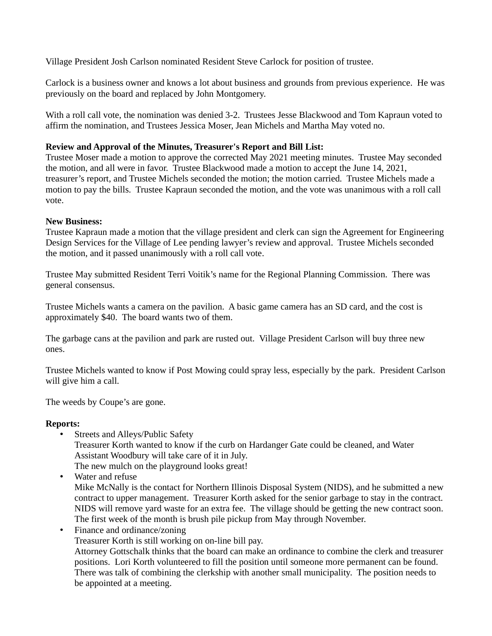Village President Josh Carlson nominated Resident Steve Carlock for position of trustee.

Carlock is a business owner and knows a lot about business and grounds from previous experience. He was previously on the board and replaced by John Montgomery.

With a roll call vote, the nomination was denied 3-2. Trustees Jesse Blackwood and Tom Kapraun voted to affirm the nomination, and Trustees Jessica Moser, Jean Michels and Martha May voted no.

# **Review and Approval of the Minutes, Treasurer's Report and Bill List:**

Trustee Moser made a motion to approve the corrected May 2021 meeting minutes. Trustee May seconded the motion, and all were in favor. Trustee Blackwood made a motion to accept the June 14, 2021, treasurer's report, and Trustee Michels seconded the motion; the motion carried. Trustee Michels made a motion to pay the bills. Trustee Kapraun seconded the motion, and the vote was unanimous with a roll call vote.

### **New Business:**

Trustee Kapraun made a motion that the village president and clerk can sign the Agreement for Engineering Design Services for the Village of Lee pending lawyer's review and approval. Trustee Michels seconded the motion, and it passed unanimously with a roll call vote.

Trustee May submitted Resident Terri Voitik's name for the Regional Planning Commission. There was general consensus.

Trustee Michels wants a camera on the pavilion. A basic game camera has an SD card, and the cost is approximately \$40. The board wants two of them.

The garbage cans at the pavilion and park are rusted out. Village President Carlson will buy three new ones.

Trustee Michels wanted to know if Post Mowing could spray less, especially by the park. President Carlson will give him a call.

The weeds by Coupe's are gone.

# **Reports:**

- Streets and Alleys/Public Safety Treasurer Korth wanted to know if the curb on Hardanger Gate could be cleaned, and Water Assistant Woodbury will take care of it in July. The new mulch on the playground looks great!
- Water and refuse Mike McNally is the contact for Northern Illinois Disposal System (NIDS), and he submitted a new contract to upper management. Treasurer Korth asked for the senior garbage to stay in the contract. NIDS will remove yard waste for an extra fee. The village should be getting the new contract soon. The first week of the month is brush pile pickup from May through November.
- Finance and ordinance/zoning Treasurer Korth is still working on on-line bill pay. Attorney Gottschalk thinks that the board can make an ordinance to combine the clerk and treasurer positions. Lori Korth volunteered to fill the position until someone more permanent can be found. There was talk of combining the clerkship with another small municipality. The position needs to be appointed at a meeting.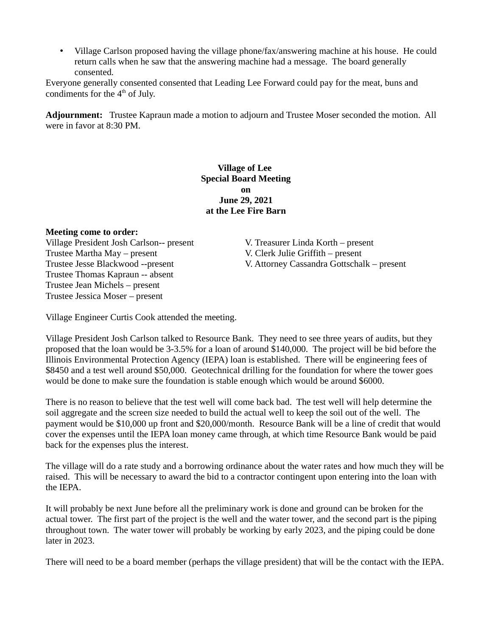• Village Carlson proposed having the village phone/fax/answering machine at his house. He could return calls when he saw that the answering machine had a message. The board generally consented.

Everyone generally consented consented that Leading Lee Forward could pay for the meat, buns and condiments for the  $4<sup>th</sup>$  of July.

**Adjournment:** Trustee Kapraun made a motion to adjourn and Trustee Moser seconded the motion. All were in favor at 8:30 PM.

## **Village of Lee Special Board Meeting on June 29, 2021 at the Lee Fire Barn**

### **Meeting come to order:**

Village President Josh Carlson-- present V. Treasurer Linda Korth – present Trustee Martha May – present V. Clerk Julie Griffith – present Trustee Thomas Kapraun -- absent Trustee Jean Michels – present Trustee Jessica Moser – present

Trustee Jesse Blackwood --present V. Attorney Cassandra Gottschalk – present

Village Engineer Curtis Cook attended the meeting.

Village President Josh Carlson talked to Resource Bank. They need to see three years of audits, but they proposed that the loan would be 3-3.5% for a loan of around \$140,000. The project will be bid before the Illinois Environmental Protection Agency (IEPA) loan is established. There will be engineering fees of \$8450 and a test well around \$50,000. Geotechnical drilling for the foundation for where the tower goes would be done to make sure the foundation is stable enough which would be around \$6000.

There is no reason to believe that the test well will come back bad. The test well will help determine the soil aggregate and the screen size needed to build the actual well to keep the soil out of the well. The payment would be \$10,000 up front and \$20,000/month. Resource Bank will be a line of credit that would cover the expenses until the IEPA loan money came through, at which time Resource Bank would be paid back for the expenses plus the interest.

The village will do a rate study and a borrowing ordinance about the water rates and how much they will be raised. This will be necessary to award the bid to a contractor contingent upon entering into the loan with the IEPA.

It will probably be next June before all the preliminary work is done and ground can be broken for the actual tower. The first part of the project is the well and the water tower, and the second part is the piping throughout town. The water tower will probably be working by early 2023, and the piping could be done later in 2023.

There will need to be a board member (perhaps the village president) that will be the contact with the IEPA.